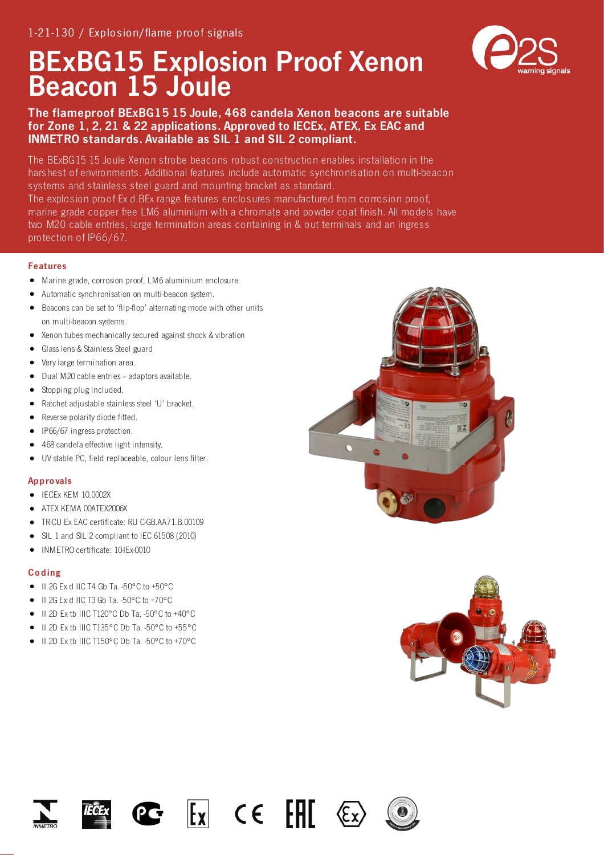# BExBG15 Explosion Proof Xenon Beacon 15 Joule



The BExBG15 15 Joule Xenon strobe beacons robust construction enables installation in the harshest of environments. Additional features include automatic synchronisation on multi-beacon systems and stainless steel guard and mounting bracket as standard. The explosion proof Ex d BEx range features enclosures manufactured from corrosion proof, marine grade copper free LM6 aluminium with a chromate and powder coat finish. All models have two M20 cable entries, large termination areas containing in & out terminals and an ingress

protection of IP66/67.

### Features

- Marine grade, corrosion proof, LM6 aluminium enclosure
- Automatic synchronisation on multi-beacon system.
- Beacons can be set to 'flip-flop' alternating mode with other units on multi-beacon systems.
- Xenon tubes mechanically secured against shock & vibration
- Glass lens & Stainless Steel guard
- Very large termination area.
- Dual M20 cable entries adaptors available.
- Stopping plug included.
- Ratchet adjustable stainless steel 'U' bracket.
- Reverse polarity diode fitted.
- IP66/67 ingress protection.
- 468 candela effective light intensity.
- $\bullet$ UV stable PC, field replaceable, colour lens filter.

#### Appro vals

- IECEx KEM 10.0002X
- ATEX KEMA 00ATEX2006X
- TR-CU Ex EAC certificate: RU C-GB.AA71.B.00109
- SIL 1 and SIL 2 compliant to IEC 61508 (2010)
- INMETRO certificate: 10-IEx-0010  $\bullet$

#### Co ding

- $\bullet$  II 2G Ex d IIC T4 Gb Ta. -50°C to +50°C
- $\bullet$  II 2G Ex d IIC T3 Gb Ta. -50°C to +70°C
- $\bullet$  II 2D Ex tb IIIC T120°C Db Ta. -50°C to +40°C
- II 2D Ex tb IIIC T135°C Db Ta. -50°C to +55°C
- II 2D Ex tb IIIC T150°C Db Ta. -50°C to +70°C











 $\begin{bmatrix} \mathsf{I}_\mathsf{X} \end{bmatrix}$  CE  $\begin{bmatrix} \mathsf{H} \end{bmatrix}$ 



 $\langle \xi \rangle$